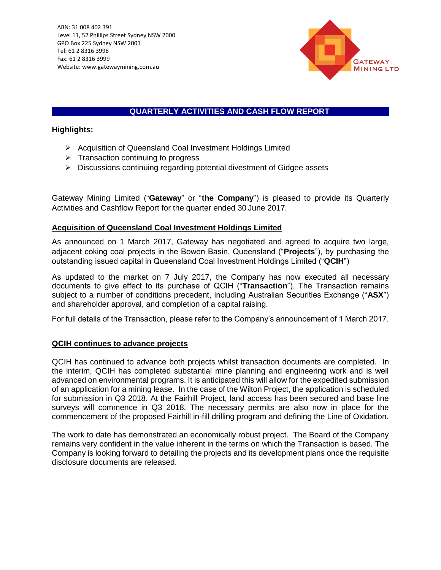

# **QUARTERLY ACTIVITIES AND CASH FLOW REPORT**

 $\mathcal{L}$ 

# **Highlights:**

- ➢ Acquisition of Queensland Coal Investment Holdings Limited
- $\triangleright$  Transaction continuing to progress
- ➢ Discussions continuing regarding potential divestment of Gidgee assets

Gateway Mining Limited ("**Gateway**" or "**the Company**") is pleased to provide its Quarterly Activities and Cashflow Report for the quarter ended 30 June 2017.

# **Acquisition of Queensland Coal Investment Holdings Limited**

As announced on 1 March 2017, Gateway has negotiated and agreed to acquire two large, adjacent coking coal projects in the Bowen Basin, Queensland ("**Projects**"), by purchasing the outstanding issued capital in Queensland Coal Investment Holdings Limited ("**QCIH**")

As updated to the market on 7 July 2017, the Company has now executed all necessary documents to give effect to its purchase of QCIH ("**Transaction**"). The Transaction remains subject to a number of conditions precedent, including Australian Securities Exchange ("**ASX**") and shareholder approval, and completion of a capital raising.

For full details of the Transaction, please refer to the Company's announcement of 1 March 2017.

## **QCIH continues to advance projects**

QCIH has continued to advance both projects whilst transaction documents are completed. In the interim, QCIH has completed substantial mine planning and engineering work and is well advanced on environmental programs. It is anticipated this will allow for the expedited submission of an application for a mining lease. In the case of the Wilton Project, the application is scheduled for submission in Q3 2018. At the Fairhill Project, land access has been secured and base line surveys will commence in Q3 2018. The necessary permits are also now in place for the commencement of the proposed Fairhill in-fill drilling program and defining the Line of Oxidation.

The work to date has demonstrated an economically robust project. The Board of the Company remains very confident in the value inherent in the terms on which the Transaction is based. The Company is looking forward to detailing the projects and its development plans once the requisite disclosure documents are released.